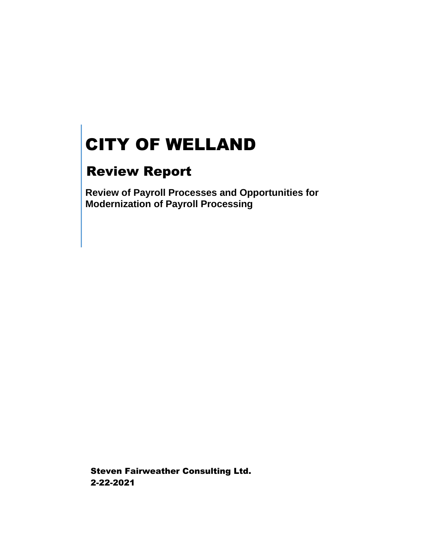# CITY OF WELLAND

# Review Report

**Review of Payroll Processes and Opportunities for Modernization of Payroll Processing**

Steven Fairweather Consulting Ltd. 2-22-2021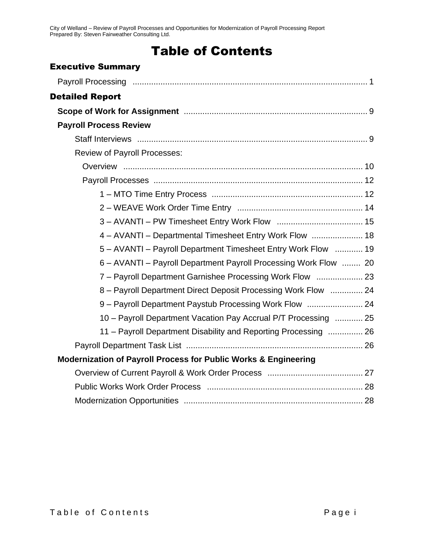# Table of Contents

#### Executive Summary

| <b>Detailed Report</b>                                                     |
|----------------------------------------------------------------------------|
|                                                                            |
| <b>Payroll Process Review</b>                                              |
|                                                                            |
| <b>Review of Payroll Processes:</b>                                        |
|                                                                            |
|                                                                            |
|                                                                            |
|                                                                            |
|                                                                            |
| 4 - AVANTI - Departmental Timesheet Entry Work Flow  18                    |
| 5 - AVANTI - Payroll Department Timesheet Entry Work Flow  19              |
| 6 - AVANTI - Payroll Department Payroll Processing Work Flow  20           |
| 7 - Payroll Department Garnishee Processing Work Flow  23                  |
| 8 - Payroll Department Direct Deposit Processing Work Flow  24             |
| 9 - Payroll Department Paystub Processing Work Flow  24                    |
| 10 - Payroll Department Vacation Pay Accrual P/T Processing  25            |
| 11 - Payroll Department Disability and Reporting Processing  26            |
|                                                                            |
| <b>Modernization of Payroll Process for Public Works &amp; Engineering</b> |
|                                                                            |
|                                                                            |
|                                                                            |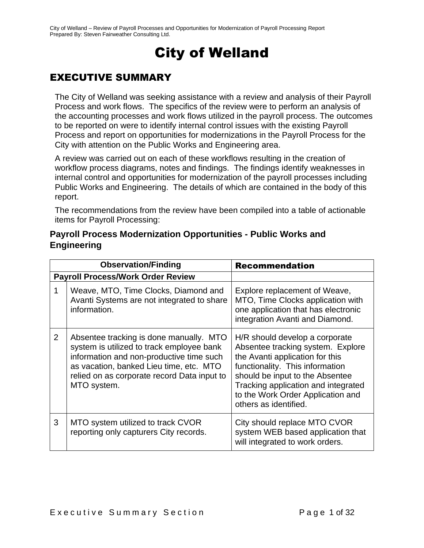# City of Welland

## EXECUTIVE SUMMARY

The City of Welland was seeking assistance with a review and analysis of their Payroll Process and work flows. The specifics of the review were to perform an analysis of the accounting processes and work flows utilized in the payroll process. The outcomes to be reported on were to identify internal control issues with the existing Payroll Process and report on opportunities for modernizations in the Payroll Process for the City with attention on the Public Works and Engineering area.

A review was carried out on each of these workflows resulting in the creation of workflow process diagrams, notes and findings. The findings identify weaknesses in internal control and opportunities for modernization of the payroll processes including Public Works and Engineering. The details of which are contained in the body of this report.

The recommendations from the review have been compiled into a table of actionable items for Payroll Processing:

| <b>Observation/Finding</b> |                                                                                                                                                                                                                                           | <b>Recommendation</b>                                                                                                                                                                                                                                                             |
|----------------------------|-------------------------------------------------------------------------------------------------------------------------------------------------------------------------------------------------------------------------------------------|-----------------------------------------------------------------------------------------------------------------------------------------------------------------------------------------------------------------------------------------------------------------------------------|
|                            | <b>Payroll Process/Work Order Review</b>                                                                                                                                                                                                  |                                                                                                                                                                                                                                                                                   |
|                            | Weave, MTO, Time Clocks, Diamond and<br>Avanti Systems are not integrated to share<br>information.                                                                                                                                        | Explore replacement of Weave,<br>MTO, Time Clocks application with<br>one application that has electronic<br>integration Avanti and Diamond.                                                                                                                                      |
| $\overline{2}$             | Absentee tracking is done manually. MTO<br>system is utilized to track employee bank<br>information and non-productive time such<br>as vacation, banked Lieu time, etc. MTO<br>relied on as corporate record Data input to<br>MTO system. | H/R should develop a corporate<br>Absentee tracking system. Explore<br>the Avanti application for this<br>functionality. This information<br>should be input to the Absentee<br>Tracking application and integrated<br>to the Work Order Application and<br>others as identified. |
| 3                          | MTO system utilized to track CVOR<br>reporting only capturers City records.                                                                                                                                                               | City should replace MTO CVOR<br>system WEB based application that<br>will integrated to work orders.                                                                                                                                                                              |

#### **Payroll Process Modernization Opportunities - Public Works and Engineering**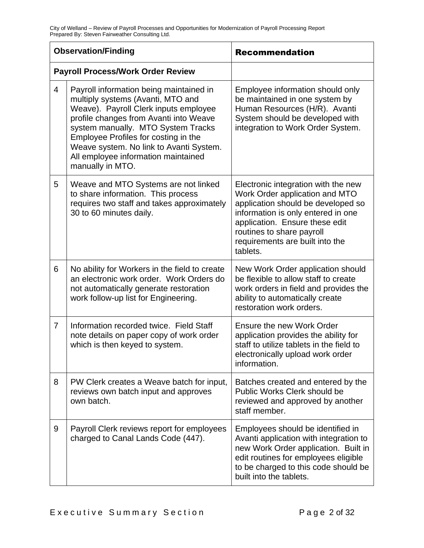| <b>Observation/Finding</b> |                                                                                                                                                                                                                                                                                                                                                     | <b>Recommendation</b>                                                                                                                                                                                                                                           |  |
|----------------------------|-----------------------------------------------------------------------------------------------------------------------------------------------------------------------------------------------------------------------------------------------------------------------------------------------------------------------------------------------------|-----------------------------------------------------------------------------------------------------------------------------------------------------------------------------------------------------------------------------------------------------------------|--|
|                            | <b>Payroll Process/Work Order Review</b>                                                                                                                                                                                                                                                                                                            |                                                                                                                                                                                                                                                                 |  |
| $\overline{4}$             | Payroll information being maintained in<br>multiply systems (Avanti, MTO and<br>Weave). Payroll Clerk inputs employee<br>profile changes from Avanti into Weave<br>system manually. MTO System Tracks<br>Employee Profiles for costing in the<br>Weave system. No link to Avanti System.<br>All employee information maintained<br>manually in MTO. | Employee information should only<br>be maintained in one system by<br>Human Resources (H/R). Avanti<br>System should be developed with<br>integration to Work Order System.                                                                                     |  |
| 5                          | Weave and MTO Systems are not linked<br>to share information. This process<br>requires two staff and takes approximately<br>30 to 60 minutes daily.                                                                                                                                                                                                 | Electronic integration with the new<br>Work Order application and MTO<br>application should be developed so<br>information is only entered in one<br>application. Ensure these edit<br>routines to share payroll<br>requirements are built into the<br>tablets. |  |
| 6                          | No ability for Workers in the field to create<br>an electronic work order. Work Orders do<br>not automatically generate restoration<br>work follow-up list for Engineering.                                                                                                                                                                         | New Work Order application should<br>be flexible to allow staff to create<br>work orders in field and provides the<br>ability to automatically create<br>restoration work orders.                                                                               |  |
| $\overline{7}$             | Information recorded twice. Field Staff<br>note details on paper copy of work order<br>which is then keyed to system.                                                                                                                                                                                                                               | Ensure the new Work Order<br>application provides the ability for<br>staff to utilize tablets in the field to<br>electronically upload work order<br>information.                                                                                               |  |
| 8                          | PW Clerk creates a Weave batch for input,<br>reviews own batch input and approves<br>own batch.                                                                                                                                                                                                                                                     | Batches created and entered by the<br>Public Works Clerk should be<br>reviewed and approved by another<br>staff member.                                                                                                                                         |  |
| 9                          | Payroll Clerk reviews report for employees<br>charged to Canal Lands Code (447).                                                                                                                                                                                                                                                                    | Employees should be identified in<br>Avanti application with integration to<br>new Work Order application. Built in<br>edit routines for employees eligible<br>to be charged to this code should be<br>built into the tablets.                                  |  |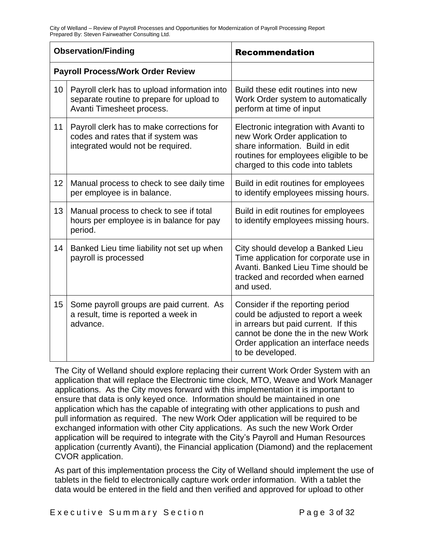| <b>Observation/Finding</b>               |                                                                                                                        | <b>Recommendation</b>                                                                                                                                                                                            |  |
|------------------------------------------|------------------------------------------------------------------------------------------------------------------------|------------------------------------------------------------------------------------------------------------------------------------------------------------------------------------------------------------------|--|
| <b>Payroll Process/Work Order Review</b> |                                                                                                                        |                                                                                                                                                                                                                  |  |
| 10                                       | Payroll clerk has to upload information into<br>separate routine to prepare for upload to<br>Avanti Timesheet process. | Build these edit routines into new<br>Work Order system to automatically<br>perform at time of input                                                                                                             |  |
| 11                                       | Payroll clerk has to make corrections for<br>codes and rates that if system was<br>integrated would not be required.   | Electronic integration with Avanti to<br>new Work Order application to<br>share information. Build in edit<br>routines for employees eligible to be<br>charged to this code into tablets                         |  |
| 12                                       | Manual process to check to see daily time<br>per employee is in balance.                                               | Build in edit routines for employees<br>to identify employees missing hours.                                                                                                                                     |  |
| 13                                       | Manual process to check to see if total<br>hours per employee is in balance for pay<br>period.                         | Build in edit routines for employees<br>to identify employees missing hours.                                                                                                                                     |  |
| 14                                       | Banked Lieu time liability not set up when<br>payroll is processed                                                     | City should develop a Banked Lieu<br>Time application for corporate use in<br>Avanti, Banked Lieu Time should be<br>tracked and recorded when earned<br>and used.                                                |  |
| 15                                       | Some payroll groups are paid current. As<br>a result, time is reported a week in<br>advance.                           | Consider if the reporting period<br>could be adjusted to report a week<br>in arrears but paid current. If this<br>cannot be done the in the new Work<br>Order application an interface needs<br>to be developed. |  |

The City of Welland should explore replacing their current Work Order System with an application that will replace the Electronic time clock, MTO, Weave and Work Manager applications. As the City moves forward with this implementation it is important to ensure that data is only keyed once. Information should be maintained in one application which has the capable of integrating with other applications to push and pull information as required. The new Work Oder application will be required to be exchanged information with other City applications. As such the new Work Order application will be required to integrate with the City's Payroll and Human Resources application (currently Avanti), the Financial application (Diamond) and the replacement CVOR application.

As part of this implementation process the City of Welland should implement the use of tablets in the field to electronically capture work order information. With a tablet the data would be entered in the field and then verified and approved for upload to other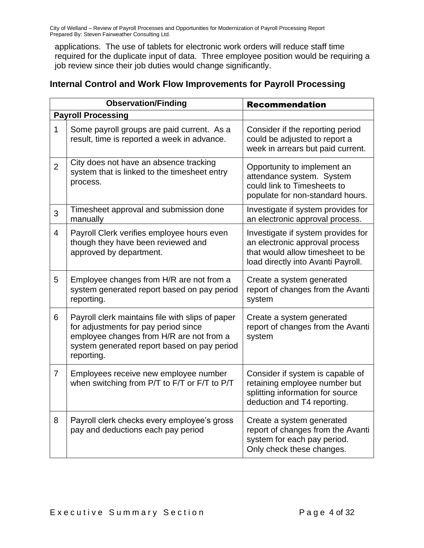applications. The use of tablets for electronic work orders will reduce staff time required for the duplicate input of data. Three employee position would be requiring a job review since their job duties would change significantly.

| <b>Internal Control and Work Flow Improvements for Payroll Processing</b> |  |
|---------------------------------------------------------------------------|--|
|---------------------------------------------------------------------------|--|

|                | <b>Observation/Finding</b>                                                                                                                                                                        | <b>Recommendation</b>                                                                                                                          |  |
|----------------|---------------------------------------------------------------------------------------------------------------------------------------------------------------------------------------------------|------------------------------------------------------------------------------------------------------------------------------------------------|--|
|                | <b>Payroll Processing</b>                                                                                                                                                                         |                                                                                                                                                |  |
| $\mathbf{1}$   | Some payroll groups are paid current. As a<br>result, time is reported a week in advance.                                                                                                         | Consider if the reporting period<br>could be adjusted to report a<br>week in arrears but paid current.                                         |  |
| $\overline{2}$ | City does not have an absence tracking<br>system that is linked to the timesheet entry<br>process.                                                                                                | Opportunity to implement an<br>attendance system. System<br>could link to Timesheets to<br>populate for non-standard hours.                    |  |
| 3              | Timesheet approval and submission done<br>manually                                                                                                                                                | Investigate if system provides for<br>an electronic approval process.                                                                          |  |
| $\overline{4}$ | Payroll Clerk verifies employee hours even<br>though they have been reviewed and<br>approved by department.                                                                                       | Investigate if system provides for<br>an electronic approval process<br>that would allow timesheet to be<br>load directly into Avanti Payroll. |  |
| 5              | Employee changes from H/R are not from a<br>system generated report based on pay period<br>reporting.                                                                                             | Create a system generated<br>report of changes from the Avanti<br>system                                                                       |  |
| 6              | Payroll clerk maintains file with slips of paper<br>for adjustments for pay period since<br>employee changes from H/R are not from a<br>system generated report based on pay period<br>reporting. | Create a system generated<br>report of changes from the Avanti<br>system                                                                       |  |
| $\overline{7}$ | Employees receive new employee number<br>when switching from P/T to F/T or F/T to P/T                                                                                                             | Consider if system is capable of<br>retaining employee number but<br>splitting information for source<br>deduction and T4 reporting.           |  |
| 8              | Payroll clerk checks every employee's gross<br>pay and deductions each pay period                                                                                                                 | Create a system generated<br>report of changes from the Avanti<br>system for each pay period.<br>Only check these changes.                     |  |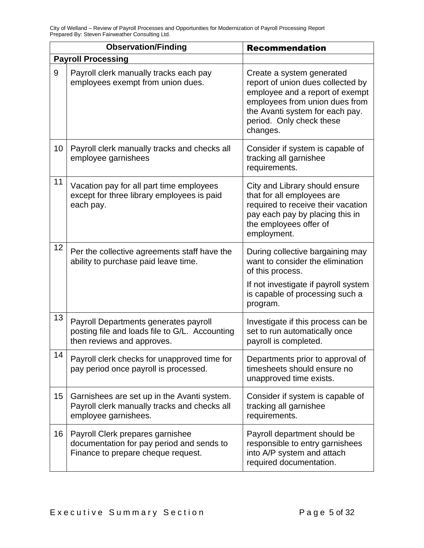| <b>Observation/Finding</b> |                                                                                                                       | <b>Recommendation</b>                                                                                                                                                                                          |  |
|----------------------------|-----------------------------------------------------------------------------------------------------------------------|----------------------------------------------------------------------------------------------------------------------------------------------------------------------------------------------------------------|--|
|                            | <b>Payroll Processing</b>                                                                                             |                                                                                                                                                                                                                |  |
| 9                          | Payroll clerk manually tracks each pay<br>employees exempt from union dues.                                           | Create a system generated<br>report of union dues collected by<br>employee and a report of exempt<br>employees from union dues from<br>the Avanti system for each pay.<br>period. Only check these<br>changes. |  |
| 10                         | Payroll clerk manually tracks and checks all<br>employee garnishees                                                   | Consider if system is capable of<br>tracking all garnishee<br>requirements.                                                                                                                                    |  |
| 11                         | Vacation pay for all part time employees<br>except for three library employees is paid<br>each pay.                   | City and Library should ensure<br>that for all employees are<br>required to receive their vacation<br>pay each pay by placing this in<br>the employees offer of<br>employment.                                 |  |
| 12                         | Per the collective agreements staff have the<br>ability to purchase paid leave time.                                  | During collective bargaining may<br>want to consider the elimination<br>of this process.<br>If not investigate if payroll system<br>is capable of processing such a<br>program.                                |  |
| 13                         | Payroll Departments generates payroll<br>posting file and loads file to G/L. Accounting<br>then reviews and approves. | Investigate if this process can be<br>set to run automatically once<br>payroll is completed.                                                                                                                   |  |
| 14                         | Payroll clerk checks for unapproved time for<br>pay period once payroll is processed.                                 | Departments prior to approval of<br>timesheets should ensure no<br>unapproved time exists.                                                                                                                     |  |
| 15                         | Garnishees are set up in the Avanti system.<br>Payroll clerk manually tracks and checks all<br>employee garnishees.   | Consider if system is capable of<br>tracking all garnishee<br>requirements.                                                                                                                                    |  |
| 16                         | Payroll Clerk prepares garnishee<br>documentation for pay period and sends to<br>Finance to prepare cheque request.   | Payroll department should be<br>responsible to entry garnishees<br>into A/P system and attach<br>required documentation.                                                                                       |  |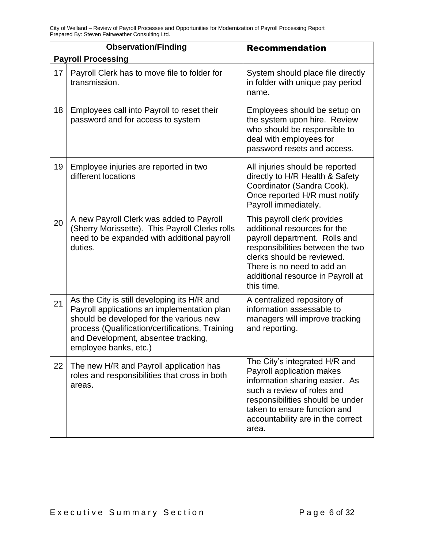|    | <b>Observation/Finding</b>                                                                                                                                                                                                                               | <b>Recommendation</b>                                                                                                                                                                                                                           |  |
|----|----------------------------------------------------------------------------------------------------------------------------------------------------------------------------------------------------------------------------------------------------------|-------------------------------------------------------------------------------------------------------------------------------------------------------------------------------------------------------------------------------------------------|--|
|    | <b>Payroll Processing</b>                                                                                                                                                                                                                                |                                                                                                                                                                                                                                                 |  |
| 17 | Payroll Clerk has to move file to folder for<br>transmission.                                                                                                                                                                                            | System should place file directly<br>in folder with unique pay period<br>name.                                                                                                                                                                  |  |
| 18 | Employees call into Payroll to reset their<br>password and for access to system                                                                                                                                                                          | Employees should be setup on<br>the system upon hire. Review<br>who should be responsible to<br>deal with employees for<br>password resets and access.                                                                                          |  |
| 19 | Employee injuries are reported in two<br>different locations                                                                                                                                                                                             | All injuries should be reported<br>directly to H/R Health & Safety<br>Coordinator (Sandra Cook).<br>Once reported H/R must notify<br>Payroll immediately.                                                                                       |  |
| 20 | A new Payroll Clerk was added to Payroll<br>(Sherry Morissette). This Payroll Clerks rolls<br>need to be expanded with additional payroll<br>duties.                                                                                                     | This payroll clerk provides<br>additional resources for the<br>payroll department. Rolls and<br>responsibilities between the two<br>clerks should be reviewed.<br>There is no need to add an<br>additional resource in Payroll at<br>this time. |  |
| 21 | As the City is still developing its H/R and<br>Payroll applications an implementation plan<br>should be developed for the various new<br>process (Qualification/certifications, Training<br>and Development, absentee tracking,<br>employee banks, etc.) | A centralized repository of<br>information assessable to<br>managers will improve tracking<br>and reporting.                                                                                                                                    |  |
| 22 | The new H/R and Payroll application has<br>roles and responsibilities that cross in both<br>areas.                                                                                                                                                       | The City's integrated H/R and<br>Payroll application makes<br>information sharing easier. As<br>such a review of roles and<br>responsibilities should be under<br>taken to ensure function and<br>accountability are in the correct<br>area.    |  |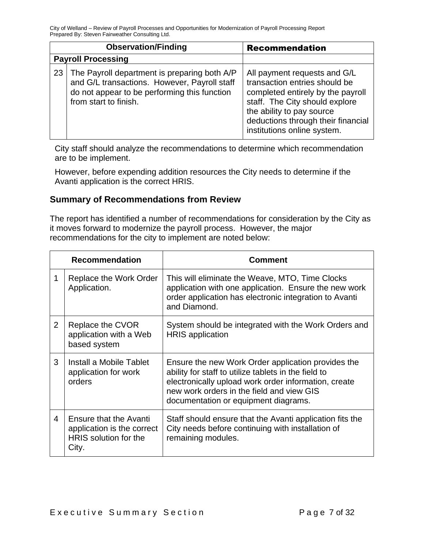|    | <b>Observation/Finding</b>                                                                                                                                            | <b>Recommendation</b>                                                                                                                                                                                                                  |
|----|-----------------------------------------------------------------------------------------------------------------------------------------------------------------------|----------------------------------------------------------------------------------------------------------------------------------------------------------------------------------------------------------------------------------------|
|    | <b>Payroll Processing</b>                                                                                                                                             |                                                                                                                                                                                                                                        |
| 23 | The Payroll department is preparing both A/P<br>and G/L transactions. However, Payroll staff<br>do not appear to be performing this function<br>from start to finish. | All payment requests and G/L<br>transaction entries should be<br>completed entirely by the payroll<br>staff. The City should explore<br>the ability to pay source<br>deductions through their financial<br>institutions online system. |

City staff should analyze the recommendations to determine which recommendation are to be implement.

However, before expending addition resources the City needs to determine if the Avanti application is the correct HRIS.

#### **Summary of Recommendations from Review**

The report has identified a number of recommendations for consideration by the City as it moves forward to modernize the payroll process. However, the major recommendations for the city to implement are noted below:

|                | <b>Recommendation</b>                                                                  | <b>Comment</b>                                                                                                                                                                                                                                          |
|----------------|----------------------------------------------------------------------------------------|---------------------------------------------------------------------------------------------------------------------------------------------------------------------------------------------------------------------------------------------------------|
| 1              | Replace the Work Order<br>Application.                                                 | This will eliminate the Weave, MTO, Time Clocks<br>application with one application. Ensure the new work<br>order application has electronic integration to Avanti<br>and Diamond.                                                                      |
| $\overline{2}$ | Replace the CVOR<br>application with a Web<br>based system                             | System should be integrated with the Work Orders and<br><b>HRIS</b> application                                                                                                                                                                         |
| 3              | Install a Mobile Tablet<br>application for work<br>orders                              | Ensure the new Work Order application provides the<br>ability for staff to utilize tablets in the field to<br>electronically upload work order information, create<br>new work orders in the field and view GIS<br>documentation or equipment diagrams. |
| 4              | Ensure that the Avanti<br>application is the correct<br>HRIS solution for the<br>City. | Staff should ensure that the Avanti application fits the<br>City needs before continuing with installation of<br>remaining modules.                                                                                                                     |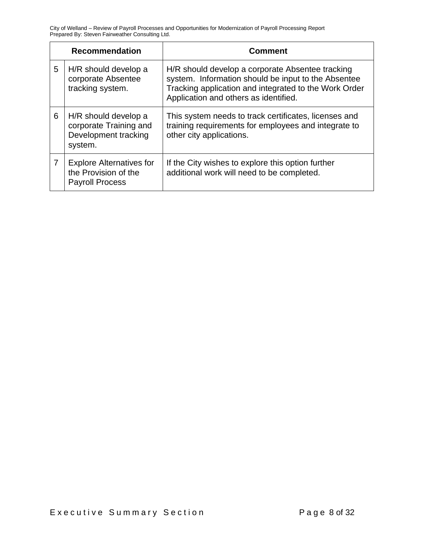| <b>Recommendation</b> |                                                                                   | <b>Comment</b>                                                                                                                                                                                            |  |
|-----------------------|-----------------------------------------------------------------------------------|-----------------------------------------------------------------------------------------------------------------------------------------------------------------------------------------------------------|--|
| 5                     | H/R should develop a<br>corporate Absentee<br>tracking system.                    | H/R should develop a corporate Absentee tracking<br>system. Information should be input to the Absentee<br>Tracking application and integrated to the Work Order<br>Application and others as identified. |  |
| 6                     | H/R should develop a<br>corporate Training and<br>Development tracking<br>system. | This system needs to track certificates, licenses and<br>training requirements for employees and integrate to<br>other city applications.                                                                 |  |
| 7                     | <b>Explore Alternatives for</b><br>the Provision of the<br><b>Payroll Process</b> | If the City wishes to explore this option further<br>additional work will need to be completed.                                                                                                           |  |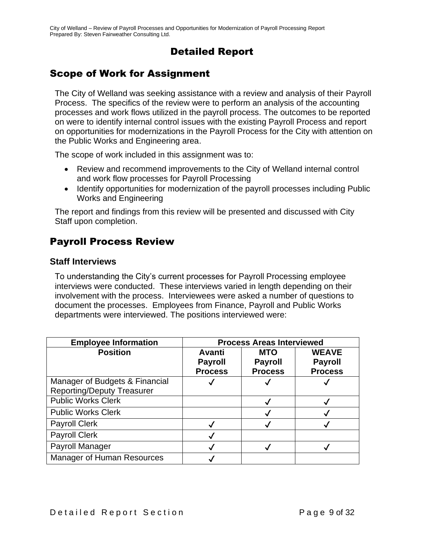### Detailed Report

### Scope of Work for Assignment

The City of Welland was seeking assistance with a review and analysis of their Payroll Process. The specifics of the review were to perform an analysis of the accounting processes and work flows utilized in the payroll process. The outcomes to be reported on were to identify internal control issues with the existing Payroll Process and report on opportunities for modernizations in the Payroll Process for the City with attention on the Public Works and Engineering area.

The scope of work included in this assignment was to:

- Review and recommend improvements to the City of Welland internal control and work flow processes for Payroll Processing
- Identify opportunities for modernization of the payroll processes including Public Works and Engineering

The report and findings from this review will be presented and discussed with City Staff upon completion.

### Payroll Process Review

#### **Staff Interviews**

To understanding the City's current processes for Payroll Processing employee interviews were conducted. These interviews varied in length depending on their involvement with the process. Interviewees were asked a number of questions to document the processes. Employees from Finance, Payroll and Public Works departments were interviewed. The positions interviewed were:

| <b>Employee Information</b>       | <b>Process Areas Interviewed</b> |                |                |
|-----------------------------------|----------------------------------|----------------|----------------|
| <b>Position</b>                   | Avanti                           | <b>MTO</b>     | <b>WEAVE</b>   |
|                                   | <b>Payroll</b>                   | <b>Payroll</b> | <b>Payroll</b> |
|                                   | <b>Process</b>                   | <b>Process</b> | <b>Process</b> |
| Manager of Budgets & Financial    |                                  |                |                |
| <b>Reporting/Deputy Treasurer</b> |                                  |                |                |
| <b>Public Works Clerk</b>         |                                  |                |                |
| <b>Public Works Clerk</b>         |                                  |                |                |
| <b>Payroll Clerk</b>              |                                  |                |                |
| <b>Payroll Clerk</b>              |                                  |                |                |
| Payroll Manager                   |                                  |                |                |
| <b>Manager of Human Resources</b> |                                  |                |                |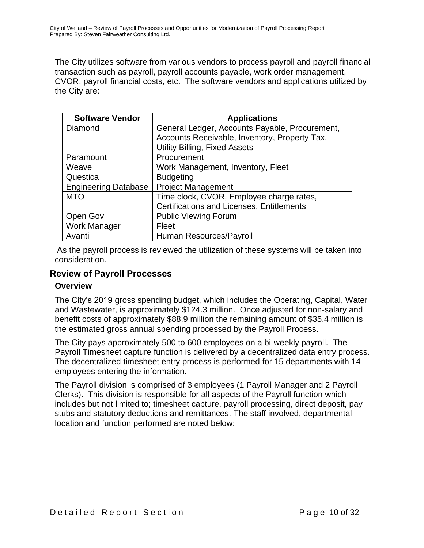The City utilizes software from various vendors to process payroll and payroll financial transaction such as payroll, payroll accounts payable, work order management, CVOR, payroll financial costs, etc. The software vendors and applications utilized by the City are:

| <b>Software Vendor</b>      | <b>Applications</b>                            |
|-----------------------------|------------------------------------------------|
| Diamond                     | General Ledger, Accounts Payable, Procurement, |
|                             | Accounts Receivable, Inventory, Property Tax,  |
|                             | <b>Utility Billing, Fixed Assets</b>           |
| Paramount                   | Procurement                                    |
| Weave                       | Work Management, Inventory, Fleet              |
| Questica                    | <b>Budgeting</b>                               |
| <b>Engineering Database</b> | <b>Project Management</b>                      |
| <b>MTO</b>                  | Time clock, CVOR, Employee charge rates,       |
|                             | Certifications and Licenses, Entitlements      |
| Open Gov                    | <b>Public Viewing Forum</b>                    |
| <b>Work Manager</b>         | Fleet                                          |
| Avanti                      | Human Resources/Payroll                        |

As the payroll process is reviewed the utilization of these systems will be taken into consideration.

#### **Review of Payroll Processes**

#### **Overview**

The City's 2019 gross spending budget, which includes the Operating, Capital, Water and Wastewater, is approximately \$124.3 million. Once adjusted for non-salary and benefit costs of approximately \$88.9 million the remaining amount of \$35.4 million is the estimated gross annual spending processed by the Payroll Process.

The City pays approximately 500 to 600 employees on a bi-weekly payroll. The Payroll Timesheet capture function is delivered by a decentralized data entry process. The decentralized timesheet entry process is performed for 15 departments with 14 employees entering the information.

The Payroll division is comprised of 3 employees (1 Payroll Manager and 2 Payroll Clerks). This division is responsible for all aspects of the Payroll function which includes but not limited to; timesheet capture, payroll processing, direct deposit, pay stubs and statutory deductions and remittances. The staff involved, departmental location and function performed are noted below: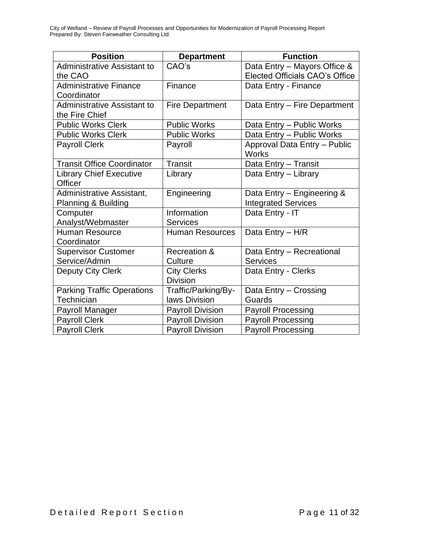| <b>Position</b>                    | <b>Department</b>       | <b>Function</b>                              |
|------------------------------------|-------------------------|----------------------------------------------|
| <b>Administrative Assistant to</b> | CAO's                   | Data Entry - Mayors Office &                 |
| the CAO                            |                         | <b>Elected Officials CAO's Office</b>        |
| <b>Administrative Finance</b>      | Finance                 | Data Entry - Finance                         |
| Coordinator                        |                         |                                              |
| <b>Administrative Assistant to</b> | <b>Fire Department</b>  | Data Entry - Fire Department                 |
| the Fire Chief                     |                         |                                              |
| <b>Public Works Clerk</b>          | <b>Public Works</b>     | Data Entry - Public Works                    |
| <b>Public Works Clerk</b>          | <b>Public Works</b>     | Data Entry - Public Works                    |
| <b>Payroll Clerk</b>               | Payroll                 | Approval Data Entry - Public<br><b>Works</b> |
| <b>Transit Office Coordinator</b>  | <b>Transit</b>          | Data Entry - Transit                         |
| <b>Library Chief Executive</b>     | Library                 | Data Entry - Library                         |
| Officer                            |                         |                                              |
| Administrative Assistant,          | Engineering             | Data Entry - Engineering &                   |
| Planning & Building                |                         | <b>Integrated Services</b>                   |
| Computer                           | Information             | Data Entry - IT                              |
| Analyst/Webmaster                  | <b>Services</b>         |                                              |
| <b>Human Resource</b>              | <b>Human Resources</b>  | Data Entry - H/R                             |
| Coordinator                        |                         |                                              |
| <b>Supervisor Customer</b>         | <b>Recreation &amp;</b> | Data Entry - Recreational                    |
| Service/Admin                      | Culture                 | <b>Services</b>                              |
| Deputy City Clerk                  | <b>City Clerks</b>      | Data Entry - Clerks                          |
|                                    | <b>Division</b>         |                                              |
| <b>Parking Traffic Operations</b>  | Traffic/Parking/By-     | Data Entry - Crossing                        |
| Technician                         | laws Division           | Guards                                       |
| <b>Payroll Manager</b>             | <b>Payroll Division</b> | <b>Payroll Processing</b>                    |
| <b>Payroll Clerk</b>               | <b>Payroll Division</b> | <b>Payroll Processing</b>                    |
| <b>Payroll Clerk</b>               | <b>Payroll Division</b> | <b>Payroll Processing</b>                    |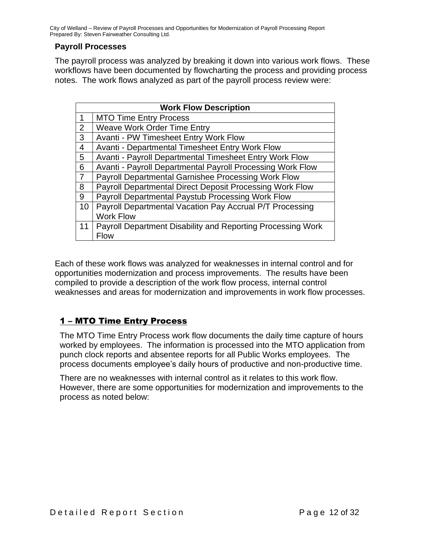#### **Payroll Processes**

The payroll process was analyzed by breaking it down into various work flows. These workflows have been documented by flowcharting the process and providing process notes. The work flows analyzed as part of the payroll process review were:

|                | <b>Work Flow Description</b>                                |  |  |  |
|----------------|-------------------------------------------------------------|--|--|--|
| 1              | <b>MTO Time Entry Process</b>                               |  |  |  |
| $\overline{2}$ | <b>Weave Work Order Time Entry</b>                          |  |  |  |
| 3              | Avanti - PW Timesheet Entry Work Flow                       |  |  |  |
| 4              | Avanti - Departmental Timesheet Entry Work Flow             |  |  |  |
| 5              | Avanti - Payroll Departmental Timesheet Entry Work Flow     |  |  |  |
| 6              | Avanti - Payroll Departmental Payroll Processing Work Flow  |  |  |  |
|                | Payroll Departmental Garnishee Processing Work Flow         |  |  |  |
| 8              | Payroll Departmental Direct Deposit Processing Work Flow    |  |  |  |
| 9              | Payroll Departmental Paystub Processing Work Flow           |  |  |  |
| 10             | Payroll Departmental Vacation Pay Accrual P/T Processing    |  |  |  |
|                | <b>Work Flow</b>                                            |  |  |  |
| 11             | Payroll Department Disability and Reporting Processing Work |  |  |  |
|                | <b>Flow</b>                                                 |  |  |  |

Each of these work flows was analyzed for weaknesses in internal control and for opportunities modernization and process improvements. The results have been compiled to provide a description of the work flow process, internal control weaknesses and areas for modernization and improvements in work flow processes.

#### 1 – MTO Time Entry Process

The MTO Time Entry Process work flow documents the daily time capture of hours worked by employees. The information is processed into the MTO application from punch clock reports and absentee reports for all Public Works employees. The process documents employee's daily hours of productive and non-productive time.

There are no weaknesses with internal control as it relates to this work flow. However, there are some opportunities for modernization and improvements to the process as noted below: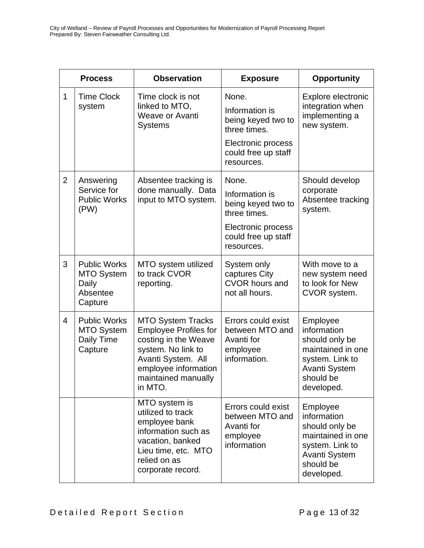|                | <b>Process</b>                                                           | <b>Observation</b>                                                                                                                                                                     | <b>Exposure</b>                                                                                                          | <b>Opportunity</b>                                                                                                                   |
|----------------|--------------------------------------------------------------------------|----------------------------------------------------------------------------------------------------------------------------------------------------------------------------------------|--------------------------------------------------------------------------------------------------------------------------|--------------------------------------------------------------------------------------------------------------------------------------|
| $\mathbf{1}$   | <b>Time Clock</b><br>system                                              | Time clock is not<br>linked to MTO,<br><b>Weave or Avanti</b><br><b>Systems</b>                                                                                                        | None.<br>Information is<br>being keyed two to<br>three times.<br>Electronic process<br>could free up staff<br>resources. | Explore electronic<br>integration when<br>implementing a<br>new system.                                                              |
| $\overline{2}$ | Answering<br>Service for<br><b>Public Works</b><br>(PW)                  | Absentee tracking is<br>done manually. Data<br>input to MTO system.                                                                                                                    | None.<br>Information is<br>being keyed two to<br>three times.<br>Electronic process<br>could free up staff<br>resources. | Should develop<br>corporate<br>Absentee tracking<br>system.                                                                          |
| 3              | <b>Public Works</b><br><b>MTO System</b><br>Daily<br>Absentee<br>Capture | MTO system utilized<br>to track CVOR<br>reporting.                                                                                                                                     | System only<br>captures City<br><b>CVOR hours and</b><br>not all hours.                                                  | With move to a<br>new system need<br>to look for New<br>CVOR system.                                                                 |
| $\overline{4}$ | <b>Public Works</b><br><b>MTO System</b><br>Daily Time<br>Capture        | <b>MTO System Tracks</b><br><b>Employee Profiles for</b><br>costing in the Weave<br>system. No link to<br>Avanti System. All<br>employee information<br>maintained manually<br>in MTO. | Errors could exist<br>between MTO and<br>Avanti for<br>employee<br>information.                                          | Employee<br>information<br>should only be<br>maintained in one<br>system. Link to<br><b>Avanti System</b><br>should be<br>developed. |
|                |                                                                          | MTO system is<br>utilized to track<br>employee bank<br>information such as<br>vacation, banked<br>Lieu time, etc. MTO<br>relied on as<br>corporate record.                             | Errors could exist<br>between MTO and<br>Avanti for<br>employee<br>information                                           | Employee<br>information<br>should only be<br>maintained in one<br>system. Link to<br><b>Avanti System</b><br>should be<br>developed. |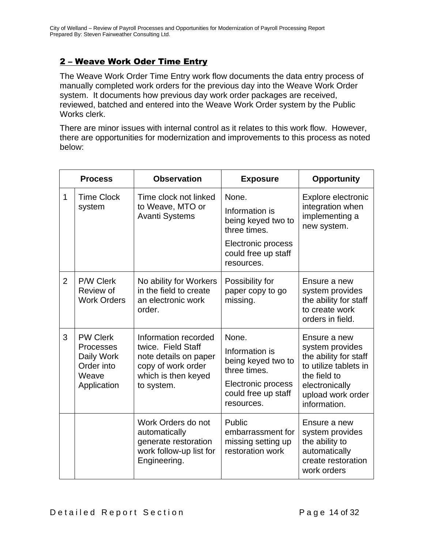#### 2 – Weave Work Oder Time Entry

The Weave Work Order Time Entry work flow documents the data entry process of manually completed work orders for the previous day into the Weave Work Order system. It documents how previous day work order packages are received, reviewed, batched and entered into the Weave Work Order system by the Public Works clerk.

There are minor issues with internal control as it relates to this work flow. However, there are opportunities for modernization and improvements to this process as noted below:

|                | <b>Process</b>                                                                          | <b>Observation</b>                                                                                                             | <b>Exposure</b>                                                                                                          | <b>Opportunity</b>                                                                                                                                       |
|----------------|-----------------------------------------------------------------------------------------|--------------------------------------------------------------------------------------------------------------------------------|--------------------------------------------------------------------------------------------------------------------------|----------------------------------------------------------------------------------------------------------------------------------------------------------|
| $\mathbf{1}$   | <b>Time Clock</b><br>system                                                             | Time clock not linked<br>to Weave, MTO or<br><b>Avanti Systems</b>                                                             | None.<br>Information is<br>being keyed two to<br>three times.<br>Electronic process<br>could free up staff<br>resources. | Explore electronic<br>integration when<br>implementing a<br>new system.                                                                                  |
| $\overline{2}$ | P/W Clerk<br>Review of<br><b>Work Orders</b>                                            | No ability for Workers<br>in the field to create<br>an electronic work<br>order.                                               | Possibility for<br>paper copy to go<br>missing.                                                                          | Ensure a new<br>system provides<br>the ability for staff<br>to create work<br>orders in field.                                                           |
| 3              | <b>PW Clerk</b><br><b>Processes</b><br>Daily Work<br>Order into<br>Weave<br>Application | Information recorded<br>twice. Field Staff<br>note details on paper<br>copy of work order<br>which is then keyed<br>to system. | None.<br>Information is<br>being keyed two to<br>three times.<br>Electronic process<br>could free up staff<br>resources. | Ensure a new<br>system provides<br>the ability for staff<br>to utilize tablets in<br>the field to<br>electronically<br>upload work order<br>information. |
|                |                                                                                         | Work Orders do not<br>automatically<br>generate restoration<br>work follow-up list for<br>Engineering.                         | Public<br>embarrassment for<br>missing setting up<br>restoration work                                                    | Ensure a new<br>system provides<br>the ability to<br>automatically<br>create restoration<br>work orders                                                  |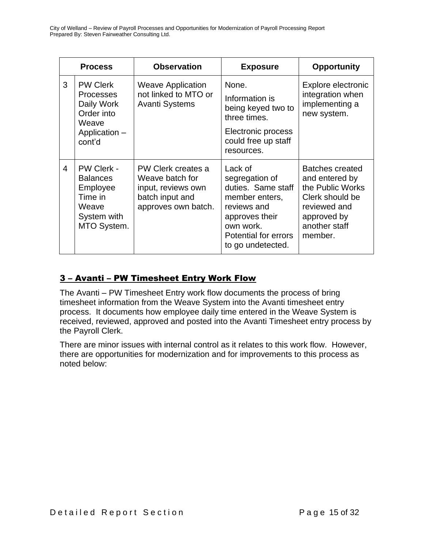|                | <b>Process</b>                                                                                    | <b>Observation</b>                                                                                    | <b>Exposure</b>                                                                                                                                              | <b>Opportunity</b>                                                                                                                         |
|----------------|---------------------------------------------------------------------------------------------------|-------------------------------------------------------------------------------------------------------|--------------------------------------------------------------------------------------------------------------------------------------------------------------|--------------------------------------------------------------------------------------------------------------------------------------------|
| 3              | <b>PW Clerk</b><br><b>Processes</b><br><b>Avanti Systems</b><br>Daily Work<br>Order into<br>Weave | <b>Weave Application</b><br>not linked to MTO or                                                      | None.<br>Information is<br>being keyed two to<br>three times.                                                                                                | Explore electronic<br>integration when<br>implementing a<br>new system.                                                                    |
|                | Application -<br>cont'd                                                                           |                                                                                                       | Electronic process<br>could free up staff<br>resources.                                                                                                      |                                                                                                                                            |
| $\overline{4}$ | PW Clerk -<br><b>Balances</b><br>Employee<br>Time in<br>Weave<br>System with<br>MTO System.       | PW Clerk creates a<br>Weave batch for<br>input, reviews own<br>batch input and<br>approves own batch. | Lack of<br>segregation of<br>duties. Same staff<br>member enters,<br>reviews and<br>approves their<br>own work.<br>Potential for errors<br>to go undetected. | <b>Batches created</b><br>and entered by<br>the Public Works<br>Clerk should be<br>reviewed and<br>approved by<br>another staff<br>member. |

#### 3 – Avanti – PW Timesheet Entry Work Flow

The Avanti – PW Timesheet Entry work flow documents the process of bring timesheet information from the Weave System into the Avanti timesheet entry process. It documents how employee daily time entered in the Weave System is received, reviewed, approved and posted into the Avanti Timesheet entry process by the Payroll Clerk.

There are minor issues with internal control as it relates to this work flow. However, there are opportunities for modernization and for improvements to this process as noted below: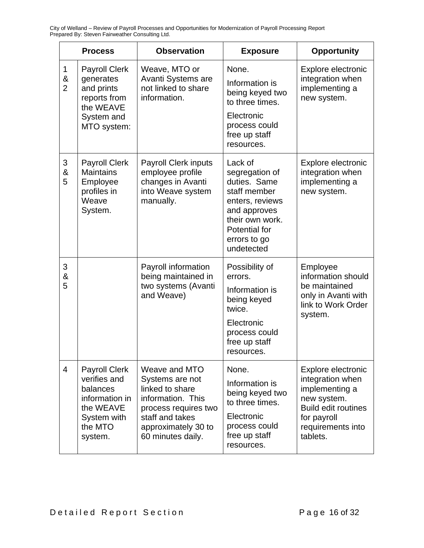|                          | <b>Process</b>                                                                                                       | <b>Observation</b>                                                                                                                                              | <b>Exposure</b>                                                                                                                                                | <b>Opportunity</b>                                                                                                                                    |
|--------------------------|----------------------------------------------------------------------------------------------------------------------|-----------------------------------------------------------------------------------------------------------------------------------------------------------------|----------------------------------------------------------------------------------------------------------------------------------------------------------------|-------------------------------------------------------------------------------------------------------------------------------------------------------|
| 1<br>&<br>$\overline{2}$ | <b>Payroll Clerk</b><br>generates<br>and prints<br>reports from<br>the WEAVE<br>System and<br>MTO system:            | Weave, MTO or<br>Avanti Systems are<br>not linked to share<br>information.                                                                                      | None.<br>Information is<br>being keyed two<br>to three times.<br>Electronic<br>process could<br>free up staff<br>resources.                                    | Explore electronic<br>integration when<br>implementing a<br>new system.                                                                               |
| 3<br>&<br>5              | <b>Payroll Clerk</b><br><b>Maintains</b><br>Employee<br>profiles in<br>Weave<br>System.                              | <b>Payroll Clerk inputs</b><br>employee profile<br>changes in Avanti<br>into Weave system<br>manually.                                                          | Lack of<br>segregation of<br>duties. Same<br>staff member<br>enters, reviews<br>and approves<br>their own work.<br>Potential for<br>errors to go<br>undetected | Explore electronic<br>integration when<br>implementing a<br>new system.                                                                               |
| 3<br>&<br>5              |                                                                                                                      | Payroll information<br>being maintained in<br>two systems (Avanti<br>and Weave)                                                                                 | Possibility of<br>errors.<br>Information is<br>being keyed<br>twice.<br>Electronic<br>process could<br>free up staff<br>resources.                             | Employee<br>information should<br>be maintained<br>only in Avanti with<br>link to Work Order<br>system.                                               |
| $\overline{4}$           | <b>Payroll Clerk</b><br>verifies and<br>balances<br>information in<br>the WEAVE<br>System with<br>the MTO<br>system. | Weave and MTO<br>Systems are not<br>linked to share<br>information. This<br>process requires two<br>staff and takes<br>approximately 30 to<br>60 minutes daily. | None.<br>Information is<br>being keyed two<br>to three times.<br>Electronic<br>process could<br>free up staff<br>resources.                                    | Explore electronic<br>integration when<br>implementing a<br>new system.<br><b>Build edit routines</b><br>for payroll<br>requirements into<br>tablets. |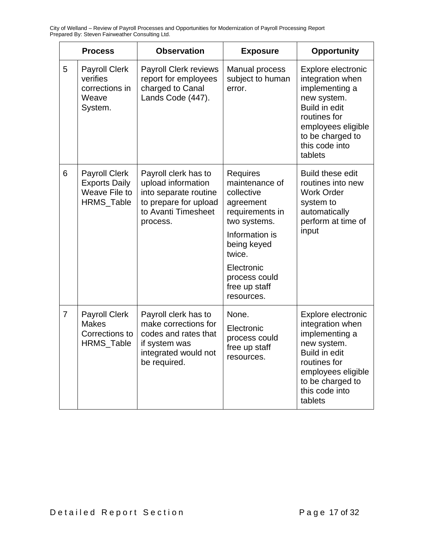|                | <b>Process</b>                                                              | <b>Observation</b>                                                                                                              | <b>Exposure</b>                                                                                                                                                                                          | <b>Opportunity</b>                                                                                                                                                              |
|----------------|-----------------------------------------------------------------------------|---------------------------------------------------------------------------------------------------------------------------------|----------------------------------------------------------------------------------------------------------------------------------------------------------------------------------------------------------|---------------------------------------------------------------------------------------------------------------------------------------------------------------------------------|
| 5              | <b>Payroll Clerk</b><br>verifies<br>corrections in<br>Weave<br>System.      | <b>Payroll Clerk reviews</b><br>report for employees<br>charged to Canal<br>Lands Code (447).                                   | Manual process<br>subject to human<br>error.                                                                                                                                                             | Explore electronic<br>integration when<br>implementing a<br>new system.<br>Build in edit<br>routines for<br>employees eligible<br>to be charged to<br>this code into<br>tablets |
| 6              | <b>Payroll Clerk</b><br><b>Exports Daily</b><br>Weave File to<br>HRMS_Table | Payroll clerk has to<br>upload information<br>into separate routine<br>to prepare for upload<br>to Avanti Timesheet<br>process. | <b>Requires</b><br>maintenance of<br>collective<br>agreement<br>requirements in<br>two systems.<br>Information is<br>being keyed<br>twice.<br>Electronic<br>process could<br>free up staff<br>resources. | <b>Build these edit</b><br>routines into new<br><b>Work Order</b><br>system to<br>automatically<br>perform at time of<br>input                                                  |
| $\overline{7}$ | <b>Payroll Clerk</b><br><b>Makes</b><br>Corrections to<br>HRMS_Table        | Payroll clerk has to<br>make corrections for<br>codes and rates that<br>if system was<br>integrated would not<br>be required.   | None.<br>Electronic<br>process could<br>free up staff<br>resources.                                                                                                                                      | Explore electronic<br>integration when<br>implementing a<br>new system.<br>Build in edit<br>routines for<br>employees eligible<br>to be charged to<br>this code into<br>tablets |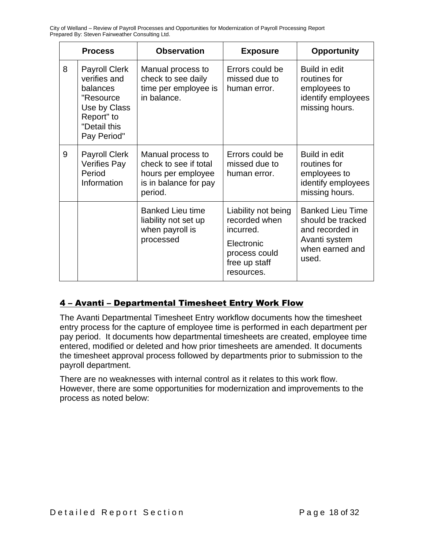|   | <b>Process</b>                                                                                                              | <b>Observation</b>                                                                                   | <b>Exposure</b>                                                                                                 | <b>Opportunity</b>                                                                                           |
|---|-----------------------------------------------------------------------------------------------------------------------------|------------------------------------------------------------------------------------------------------|-----------------------------------------------------------------------------------------------------------------|--------------------------------------------------------------------------------------------------------------|
| 8 | <b>Payroll Clerk</b><br>verifies and<br>balances<br>"Resource"<br>Use by Class<br>Report" to<br>"Detail this<br>Pay Period" | Manual process to<br>check to see daily<br>time per employee is<br>in balance.                       | Errors could be<br>missed due to<br>human error.                                                                | Build in edit<br>routines for<br>employees to<br>identify employees<br>missing hours.                        |
| 9 | <b>Payroll Clerk</b><br><b>Verifies Pay</b><br>Period<br>Information                                                        | Manual process to<br>check to see if total<br>hours per employee<br>is in balance for pay<br>period. | Errors could be<br>missed due to<br>human error.                                                                | Build in edit<br>routines for<br>employees to<br>identify employees<br>missing hours.                        |
|   |                                                                                                                             | <b>Banked Lieu time</b><br>liability not set up<br>when payroll is<br>processed                      | Liability not being<br>recorded when<br>incurred.<br>Electronic<br>process could<br>free up staff<br>resources. | <b>Banked Lieu Time</b><br>should be tracked<br>and recorded in<br>Avanti system<br>when earned and<br>used. |

#### 4 – Avanti – Departmental Timesheet Entry Work Flow

The Avanti Departmental Timesheet Entry workflow documents how the timesheet entry process for the capture of employee time is performed in each department per pay period. It documents how departmental timesheets are created, employee time entered, modified or deleted and how prior timesheets are amended. It documents the timesheet approval process followed by departments prior to submission to the payroll department.

There are no weaknesses with internal control as it relates to this work flow. However, there are some opportunities for modernization and improvements to the process as noted below: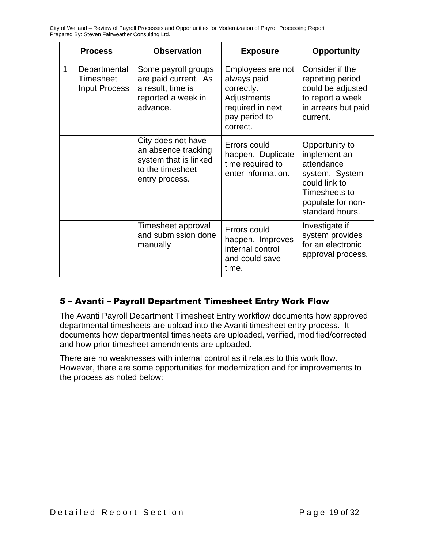|   | <b>Process</b>                                    | <b>Observation</b>                                                                                       | <b>Exposure</b>                                                                                                | <b>Opportunity</b>                                                                                                                       |
|---|---------------------------------------------------|----------------------------------------------------------------------------------------------------------|----------------------------------------------------------------------------------------------------------------|------------------------------------------------------------------------------------------------------------------------------------------|
| 1 | Departmental<br>Timesheet<br><b>Input Process</b> | Some payroll groups<br>are paid current. As<br>a result, time is<br>reported a week in<br>advance.       | Employees are not<br>always paid<br>correctly.<br>Adjustments<br>required in next<br>pay period to<br>correct. | Consider if the<br>reporting period<br>could be adjusted<br>to report a week<br>in arrears but paid<br>current.                          |
|   |                                                   | City does not have<br>an absence tracking<br>system that is linked<br>to the timesheet<br>entry process. | Errors could<br>happen. Duplicate<br>time required to<br>enter information.                                    | Opportunity to<br>implement an<br>attendance<br>system. System<br>could link to<br>Timesheets to<br>populate for non-<br>standard hours. |
|   |                                                   | Timesheet approval<br>and submission done<br>manually                                                    | Errors could<br>happen. Improves<br>internal control<br>and could save<br>time.                                | Investigate if<br>system provides<br>for an electronic<br>approval process.                                                              |

#### 5 – Avanti – Payroll Department Timesheet Entry Work Flow

The Avanti Payroll Department Timesheet Entry workflow documents how approved departmental timesheets are upload into the Avanti timesheet entry process. It documents how departmental timesheets are uploaded, verified, modified/corrected and how prior timesheet amendments are uploaded.

There are no weaknesses with internal control as it relates to this work flow. However, there are some opportunities for modernization and for improvements to the process as noted below: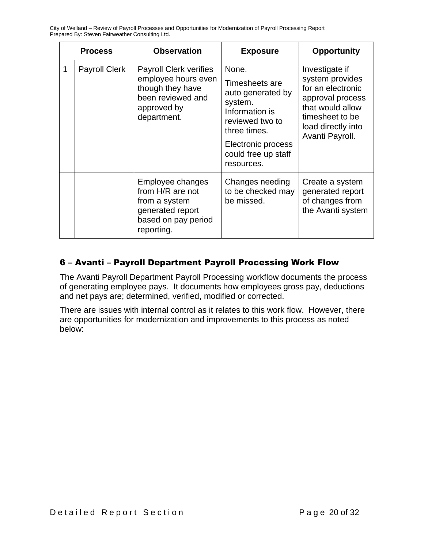|   | <b>Process</b>       | <b>Observation</b>                                                                                                          | <b>Exposure</b>                                                                                                                                                         | <b>Opportunity</b>                                                                                                                                         |
|---|----------------------|-----------------------------------------------------------------------------------------------------------------------------|-------------------------------------------------------------------------------------------------------------------------------------------------------------------------|------------------------------------------------------------------------------------------------------------------------------------------------------------|
| 1 | <b>Payroll Clerk</b> | <b>Payroll Clerk verifies</b><br>employee hours even<br>though they have<br>been reviewed and<br>approved by<br>department. | None.<br>Timesheets are<br>auto generated by<br>system.<br>Information is<br>reviewed two to<br>three times.<br>Electronic process<br>could free up staff<br>resources. | Investigate if<br>system provides<br>for an electronic<br>approval process<br>that would allow<br>timesheet to be<br>load directly into<br>Avanti Payroll. |
|   |                      | Employee changes<br>from H/R are not<br>from a system<br>generated report<br>based on pay period<br>reporting.              | Changes needing<br>to be checked may<br>be missed.                                                                                                                      | Create a system<br>generated report<br>of changes from<br>the Avanti system                                                                                |

#### 6 – Avanti – Payroll Department Payroll Processing Work Flow

The Avanti Payroll Department Payroll Processing workflow documents the process of generating employee pays. It documents how employees gross pay, deductions and net pays are; determined, verified, modified or corrected.

There are issues with internal control as it relates to this work flow. However, there are opportunities for modernization and improvements to this process as noted below: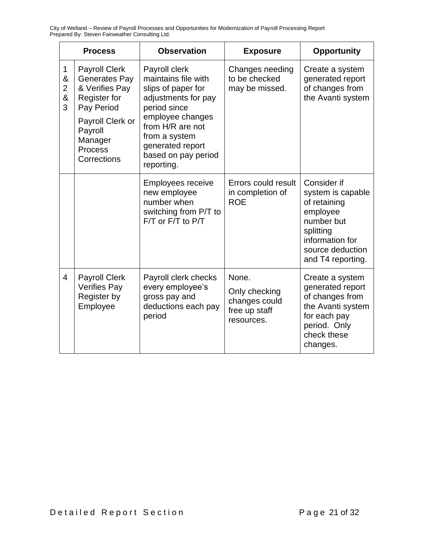|                                    | <b>Process</b>                                                                                                                                                          | <b>Observation</b>                                                                                                                                                                                                  | <b>Exposure</b>                                                        | <b>Opportunity</b>                                                                                                                                  |
|------------------------------------|-------------------------------------------------------------------------------------------------------------------------------------------------------------------------|---------------------------------------------------------------------------------------------------------------------------------------------------------------------------------------------------------------------|------------------------------------------------------------------------|-----------------------------------------------------------------------------------------------------------------------------------------------------|
| 1<br>&<br>$\overline{2}$<br>&<br>3 | <b>Payroll Clerk</b><br>Generates Pay<br>& Verifies Pay<br><b>Register for</b><br>Pay Period<br>Payroll Clerk or<br>Payroll<br>Manager<br><b>Process</b><br>Corrections | Payroll clerk<br>maintains file with<br>slips of paper for<br>adjustments for pay<br>period since<br>employee changes<br>from H/R are not<br>from a system<br>generated report<br>based on pay period<br>reporting. | Changes needing<br>to be checked<br>may be missed.                     | Create a system<br>generated report<br>of changes from<br>the Avanti system                                                                         |
|                                    |                                                                                                                                                                         | <b>Employees receive</b><br>new employee<br>number when<br>switching from P/T to<br>F/T or F/T to P/T                                                                                                               | Errors could result<br>in completion of<br><b>ROE</b>                  | Consider if<br>system is capable<br>of retaining<br>employee<br>number but<br>splitting<br>information for<br>source deduction<br>and T4 reporting. |
| $\overline{4}$                     | <b>Payroll Clerk</b><br><b>Verifies Pay</b><br>Register by<br>Employee                                                                                                  | Payroll clerk checks<br>every employee's<br>gross pay and<br>deductions each pay<br>period                                                                                                                          | None.<br>Only checking<br>changes could<br>free up staff<br>resources. | Create a system<br>generated report<br>of changes from<br>the Avanti system<br>for each pay<br>period. Only<br>check these<br>changes.              |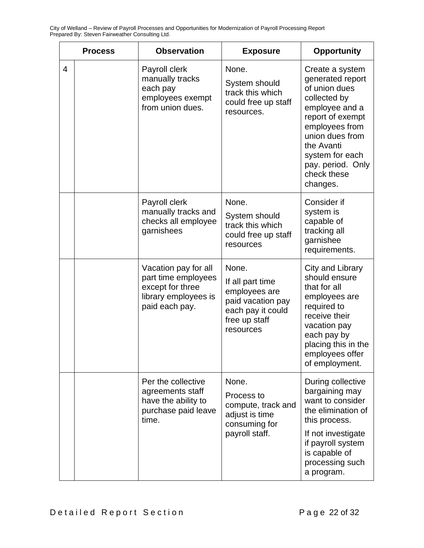|                | <b>Process</b> | <b>Observation</b>                                                                                        | <b>Exposure</b>                                                                                                    | <b>Opportunity</b>                                                                                                                                                                                                               |
|----------------|----------------|-----------------------------------------------------------------------------------------------------------|--------------------------------------------------------------------------------------------------------------------|----------------------------------------------------------------------------------------------------------------------------------------------------------------------------------------------------------------------------------|
| $\overline{4}$ |                | Payroll clerk<br>manually tracks<br>each pay<br>employees exempt<br>from union dues.                      | None.<br>System should<br>track this which<br>could free up staff<br>resources.                                    | Create a system<br>generated report<br>of union dues<br>collected by<br>employee and a<br>report of exempt<br>employees from<br>union dues from<br>the Avanti<br>system for each<br>pay. period. Only<br>check these<br>changes. |
|                |                | Payroll clerk<br>manually tracks and<br>checks all employee<br>garnishees                                 | None.<br>System should<br>track this which<br>could free up staff<br>resources                                     | Consider if<br>system is<br>capable of<br>tracking all<br>garnishee<br>requirements.                                                                                                                                             |
|                |                | Vacation pay for all<br>part time employees<br>except for three<br>library employees is<br>paid each pay. | None.<br>If all part time<br>employees are<br>paid vacation pay<br>each pay it could<br>free up staff<br>resources | City and Library<br>should ensure<br>that for all<br>employees are<br>required to<br>receive their<br>vacation pay<br>each pay by<br>placing this in the<br>employees offer<br>of employment.                                    |
|                |                | Per the collective<br>agreements staff<br>have the ability to<br>purchase paid leave<br>time.             | None.<br>Process to<br>compute, track and<br>adjust is time<br>consuming for<br>payroll staff.                     | During collective<br>bargaining may<br>want to consider<br>the elimination of<br>this process.<br>If not investigate<br>if payroll system<br>is capable of<br>processing such<br>a program.                                      |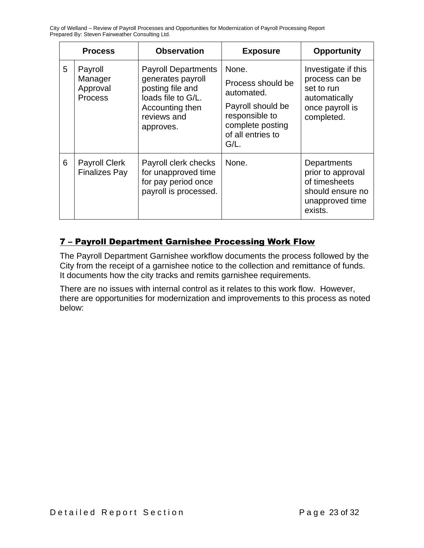|   | <b>Process</b>                               | <b>Observation</b>                                                                                                                       | <b>Exposure</b>                                                                                                                     | <b>Opportunity</b>                                                                                    |
|---|----------------------------------------------|------------------------------------------------------------------------------------------------------------------------------------------|-------------------------------------------------------------------------------------------------------------------------------------|-------------------------------------------------------------------------------------------------------|
| 5 | Payroll<br>Manager<br>Approval<br>Process    | <b>Payroll Departments</b><br>generates payroll<br>posting file and<br>loads file to G/L.<br>Accounting then<br>reviews and<br>approves. | None.<br>Process should be<br>automated.<br>Payroll should be<br>responsible to<br>complete posting<br>of all entries to<br>$G/L$ . | Investigate if this<br>process can be<br>set to run<br>automatically<br>once payroll is<br>completed. |
| 6 | <b>Payroll Clerk</b><br><b>Finalizes Pay</b> | Payroll clerk checks<br>for unapproved time<br>for pay period once<br>payroll is processed.                                              | None.                                                                                                                               | Departments<br>prior to approval<br>of timesheets<br>should ensure no<br>unapproved time<br>exists.   |

#### 7 – Payroll Department Garnishee Processing Work Flow

The Payroll Department Garnishee workflow documents the process followed by the City from the receipt of a garnishee notice to the collection and remittance of funds. It documents how the city tracks and remits garnishee requirements.

There are no issues with internal control as it relates to this work flow. However, there are opportunities for modernization and improvements to this process as noted below: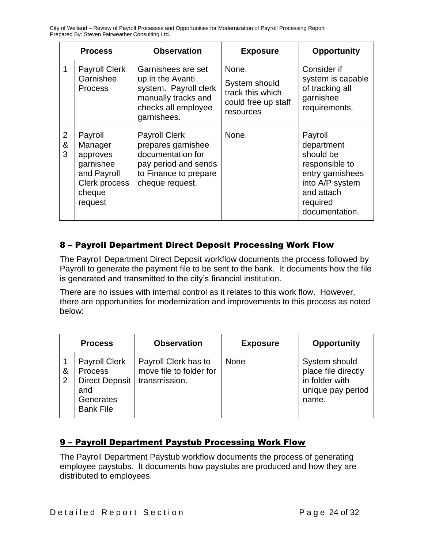|                          | <b>Process</b>                                                                                   | <b>Observation</b>                                                                                                                  | <b>Exposure</b>                                                                | <b>Opportunity</b>                                                                                                                      |
|--------------------------|--------------------------------------------------------------------------------------------------|-------------------------------------------------------------------------------------------------------------------------------------|--------------------------------------------------------------------------------|-----------------------------------------------------------------------------------------------------------------------------------------|
| 1                        | <b>Payroll Clerk</b><br>Garnishee<br><b>Process</b>                                              | Garnishees are set<br>up in the Avanti<br>system. Payroll clerk<br>manually tracks and<br>checks all employee<br>garnishees.        | None.<br>System should<br>track this which<br>could free up staff<br>resources | Consider if<br>system is capable<br>of tracking all<br>garnishee<br>requirements.                                                       |
| $\overline{2}$<br>&<br>3 | Payroll<br>Manager<br>approves<br>garnishee<br>and Payroll<br>Clerk process<br>cheque<br>request | <b>Payroll Clerk</b><br>prepares garnishee<br>documentation for<br>pay period and sends<br>to Finance to prepare<br>cheque request. | None.                                                                          | Payroll<br>department<br>should be<br>responsible to<br>entry garnishees<br>into A/P system<br>and attach<br>required<br>documentation. |

#### 8 – Payroll Department Direct Deposit Processing Work Flow

The Payroll Department Direct Deposit workflow documents the process followed by Payroll to generate the payment file to be sent to the bank. It documents how the file is generated and transmitted to the city's financial institution.

There are no issues with internal control as it relates to this work flow. However, there are opportunities for modernization and improvements to this process as noted below:

|        | <b>Process</b>                                                                                          | <b>Observation</b>                                               | <b>Exposure</b> | <b>Opportunity</b>                                                                   |
|--------|---------------------------------------------------------------------------------------------------------|------------------------------------------------------------------|-----------------|--------------------------------------------------------------------------------------|
| &<br>2 | <b>Payroll Clerk</b><br><b>Process</b><br><b>Direct Deposit</b><br>and<br>Generates<br><b>Bank File</b> | Payroll Clerk has to<br>move file to folder for<br>transmission. | <b>None</b>     | System should<br>place file directly<br>in folder with<br>unique pay period<br>name. |

#### 9 – Payroll Department Paystub Processing Work Flow

The Payroll Department Paystub workflow documents the process of generating employee paystubs. It documents how paystubs are produced and how they are distributed to employees.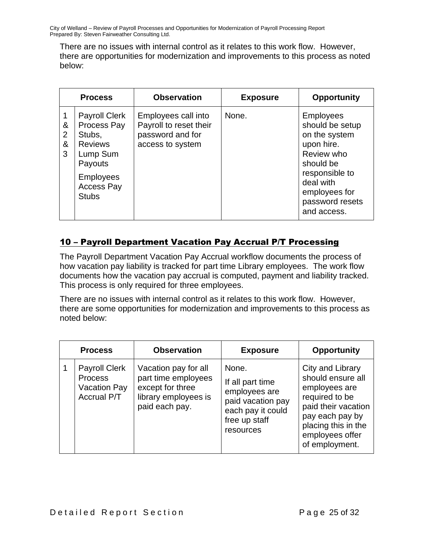There are no issues with internal control as it relates to this work flow. However, there are opportunities for modernization and improvements to this process as noted below:

|                  | <b>Process</b>                                                                                                                           | <b>Observation</b>                                                                    | <b>Exposure</b> | <b>Opportunity</b>                                                                                                                                                              |
|------------------|------------------------------------------------------------------------------------------------------------------------------------------|---------------------------------------------------------------------------------------|-----------------|---------------------------------------------------------------------------------------------------------------------------------------------------------------------------------|
| &<br>2<br>&<br>3 | <b>Payroll Clerk</b><br>Process Pay<br>Stubs,<br><b>Reviews</b><br>Lump Sum<br>Payouts<br><b>Employees</b><br>Access Pay<br><b>Stubs</b> | Employees call into<br>Payroll to reset their<br>password and for<br>access to system | None.           | <b>Employees</b><br>should be setup<br>on the system<br>upon hire.<br>Review who<br>should be<br>responsible to<br>deal with<br>employees for<br>password resets<br>and access. |

#### 10 – Payroll Department Vacation Pay Accrual P/T Processing

The Payroll Department Vacation Pay Accrual workflow documents the process of how vacation pay liability is tracked for part time Library employees. The work flow documents how the vacation pay accrual is computed, payment and liability tracked. This process is only required for three employees.

There are no issues with internal control as it relates to this work flow. However, there are some opportunities for modernization and improvements to this process as noted below:

| <b>Process</b>                                                               | <b>Observation</b>                                                                                        | <b>Exposure</b>                                                                                                    | <b>Opportunity</b>                                                                                                                                                             |
|------------------------------------------------------------------------------|-----------------------------------------------------------------------------------------------------------|--------------------------------------------------------------------------------------------------------------------|--------------------------------------------------------------------------------------------------------------------------------------------------------------------------------|
| <b>Payroll Clerk</b><br><b>Process</b><br>Vacation Pay<br><b>Accrual P/T</b> | Vacation pay for all<br>part time employees<br>except for three<br>library employees is<br>paid each pay. | None.<br>If all part time<br>employees are<br>paid vacation pay<br>each pay it could<br>free up staff<br>resources | City and Library<br>should ensure all<br>employees are<br>required to be<br>paid their vacation<br>pay each pay by<br>placing this in the<br>employees offer<br>of employment. |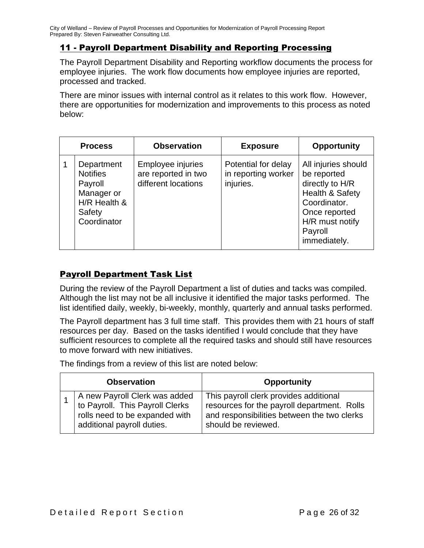#### 11 - Payroll Department Disability and Reporting Processing

The Payroll Department Disability and Reporting workflow documents the process for employee injuries. The work flow documents how employee injuries are reported, processed and tracked.

There are minor issues with internal control as it relates to this work flow. However, there are opportunities for modernization and improvements to this process as noted below:

| <b>Process</b>                                                                                  | <b>Observation</b>                                              | <b>Exposure</b>                                         | <b>Opportunity</b>                                                                                                                                                 |
|-------------------------------------------------------------------------------------------------|-----------------------------------------------------------------|---------------------------------------------------------|--------------------------------------------------------------------------------------------------------------------------------------------------------------------|
| Department<br><b>Notifies</b><br>Payroll<br>Manager or<br>H/R Health &<br>Safety<br>Coordinator | Employee injuries<br>are reported in two<br>different locations | Potential for delay<br>in reporting worker<br>injuries. | All injuries should<br>be reported<br>directly to H/R<br><b>Health &amp; Safety</b><br>Coordinator.<br>Once reported<br>H/R must notify<br>Payroll<br>immediately. |

#### Payroll Department Task List

During the review of the Payroll Department a list of duties and tacks was compiled. Although the list may not be all inclusive it identified the major tasks performed. The list identified daily, weekly, bi-weekly, monthly, quarterly and annual tasks performed.

The Payroll department has 3 full time staff. This provides them with 21 hours of staff resources per day. Based on the tasks identified I would conclude that they have sufficient resources to complete all the required tasks and should still have resources to move forward with new initiatives.

The findings from a review of this list are noted below:

| <b>Observation</b> |                                                                                                                                  | <b>Opportunity</b>                                                                                                                                          |
|--------------------|----------------------------------------------------------------------------------------------------------------------------------|-------------------------------------------------------------------------------------------------------------------------------------------------------------|
|                    | A new Payroll Clerk was added<br>to Payroll. This Payroll Clerks<br>rolls need to be expanded with<br>additional payroll duties. | This payroll clerk provides additional<br>resources for the payroll department. Rolls<br>and responsibilities between the two clerks<br>should be reviewed. |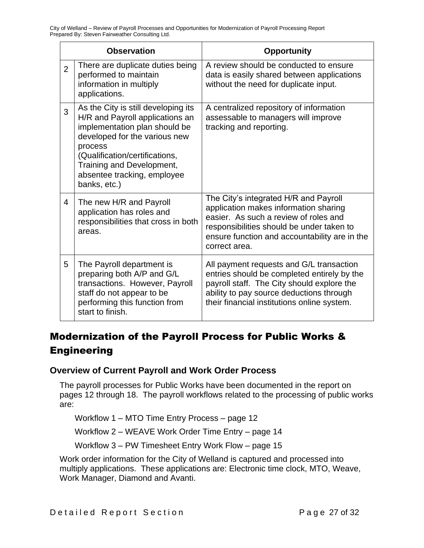|                | <b>Observation</b>                                                                                                                                                                                                                                                | <b>Opportunity</b>                                                                                                                                                                                                                     |
|----------------|-------------------------------------------------------------------------------------------------------------------------------------------------------------------------------------------------------------------------------------------------------------------|----------------------------------------------------------------------------------------------------------------------------------------------------------------------------------------------------------------------------------------|
| $\overline{2}$ | There are duplicate duties being<br>performed to maintain<br>information in multiply<br>applications.                                                                                                                                                             | A review should be conducted to ensure<br>data is easily shared between applications<br>without the need for duplicate input.                                                                                                          |
| 3              | As the City is still developing its<br>H/R and Payroll applications an<br>implementation plan should be<br>developed for the various new<br>process<br>(Qualification/certifications,<br>Training and Development,<br>absentee tracking, employee<br>banks, etc.) | A centralized repository of information<br>assessable to managers will improve<br>tracking and reporting.                                                                                                                              |
| 4              | The new H/R and Payroll<br>application has roles and<br>responsibilities that cross in both<br>areas.                                                                                                                                                             | The City's integrated H/R and Payroll<br>application makes information sharing<br>easier. As such a review of roles and<br>responsibilities should be under taken to<br>ensure function and accountability are in the<br>correct area. |
| 5              | The Payroll department is<br>preparing both A/P and G/L<br>transactions. However, Payroll<br>staff do not appear to be<br>performing this function from<br>start to finish.                                                                                       | All payment requests and G/L transaction<br>entries should be completed entirely by the<br>payroll staff. The City should explore the<br>ability to pay source deductions through<br>their financial institutions online system.       |

# Modernization of the Payroll Process for Public Works & **Engineering**

#### **Overview of Current Payroll and Work Order Process**

The payroll processes for Public Works have been documented in the report on pages 12 through 18. The payroll workflows related to the processing of public works are:

Workflow 1 – MTO Time Entry Process – page 12

Workflow 2 – WEAVE Work Order Time Entry – page 14

Workflow 3 – PW Timesheet Entry Work Flow – page 15

Work order information for the City of Welland is captured and processed into multiply applications. These applications are: Electronic time clock, MTO, Weave, Work Manager, Diamond and Avanti.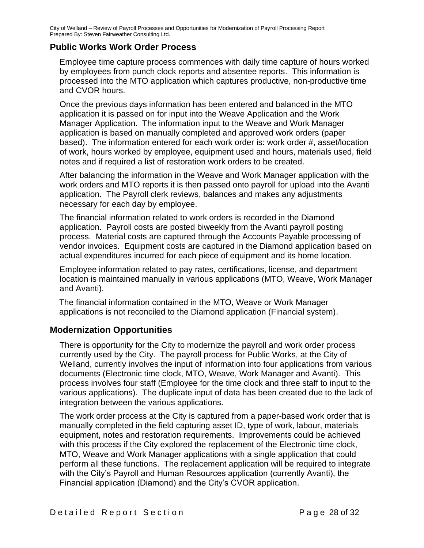#### **Public Works Work Order Process**

Employee time capture process commences with daily time capture of hours worked by employees from punch clock reports and absentee reports. This information is processed into the MTO application which captures productive, non-productive time and CVOR hours.

Once the previous days information has been entered and balanced in the MTO application it is passed on for input into the Weave Application and the Work Manager Application. The information input to the Weave and Work Manager application is based on manually completed and approved work orders (paper based). The information entered for each work order is: work order #, asset/location of work, hours worked by employee, equipment used and hours, materials used, field notes and if required a list of restoration work orders to be created.

After balancing the information in the Weave and Work Manager application with the work orders and MTO reports it is then passed onto payroll for upload into the Avanti application. The Payroll clerk reviews, balances and makes any adjustments necessary for each day by employee.

The financial information related to work orders is recorded in the Diamond application. Payroll costs are posted biweekly from the Avanti payroll posting process. Material costs are captured through the Accounts Payable processing of vendor invoices. Equipment costs are captured in the Diamond application based on actual expenditures incurred for each piece of equipment and its home location.

Employee information related to pay rates, certifications, license, and department location is maintained manually in various applications (MTO, Weave, Work Manager and Avanti).

The financial information contained in the MTO, Weave or Work Manager applications is not reconciled to the Diamond application (Financial system).

#### **Modernization Opportunities**

There is opportunity for the City to modernize the payroll and work order process currently used by the City. The payroll process for Public Works, at the City of Welland, currently involves the input of information into four applications from various documents (Electronic time clock, MTO, Weave, Work Manager and Avanti). This process involves four staff (Employee for the time clock and three staff to input to the various applications). The duplicate input of data has been created due to the lack of integration between the various applications.

The work order process at the City is captured from a paper-based work order that is manually completed in the field capturing asset ID, type of work, labour, materials equipment, notes and restoration requirements. Improvements could be achieved with this process if the City explored the replacement of the Electronic time clock, MTO, Weave and Work Manager applications with a single application that could perform all these functions. The replacement application will be required to integrate with the City's Payroll and Human Resources application (currently Avanti), the Financial application (Diamond) and the City's CVOR application.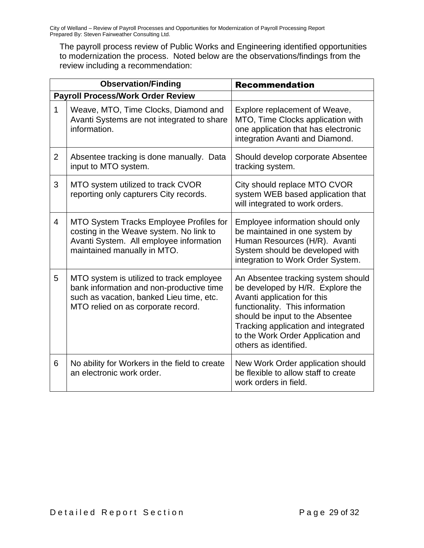The payroll process review of Public Works and Engineering identified opportunities to modernization the process. Noted below are the observations/findings from the review including a recommendation:

|                | <b>Observation/Finding</b>                                                                                                                                             | <b>Recommendation</b>                                                                                                                                                                                                                                                            |
|----------------|------------------------------------------------------------------------------------------------------------------------------------------------------------------------|----------------------------------------------------------------------------------------------------------------------------------------------------------------------------------------------------------------------------------------------------------------------------------|
|                | <b>Payroll Process/Work Order Review</b>                                                                                                                               |                                                                                                                                                                                                                                                                                  |
| $\mathbf 1$    | Weave, MTO, Time Clocks, Diamond and<br>Avanti Systems are not integrated to share<br>information.                                                                     | Explore replacement of Weave,<br>MTO, Time Clocks application with<br>one application that has electronic<br>integration Avanti and Diamond.                                                                                                                                     |
| $\overline{2}$ | Absentee tracking is done manually. Data<br>input to MTO system.                                                                                                       | Should develop corporate Absentee<br>tracking system.                                                                                                                                                                                                                            |
| 3              | MTO system utilized to track CVOR<br>reporting only capturers City records.                                                                                            | City should replace MTO CVOR<br>system WEB based application that<br>will integrated to work orders.                                                                                                                                                                             |
| 4              | MTO System Tracks Employee Profiles for<br>costing in the Weave system. No link to<br>Avanti System. All employee information<br>maintained manually in MTO.           | Employee information should only<br>be maintained in one system by<br>Human Resources (H/R). Avanti<br>System should be developed with<br>integration to Work Order System.                                                                                                      |
| 5              | MTO system is utilized to track employee<br>bank information and non-productive time<br>such as vacation, banked Lieu time, etc.<br>MTO relied on as corporate record. | An Absentee tracking system should<br>be developed by H/R. Explore the<br>Avanti application for this<br>functionality. This information<br>should be input to the Absentee<br>Tracking application and integrated<br>to the Work Order Application and<br>others as identified. |
| 6              | No ability for Workers in the field to create<br>an electronic work order.                                                                                             | New Work Order application should<br>be flexible to allow staff to create<br>work orders in field.                                                                                                                                                                               |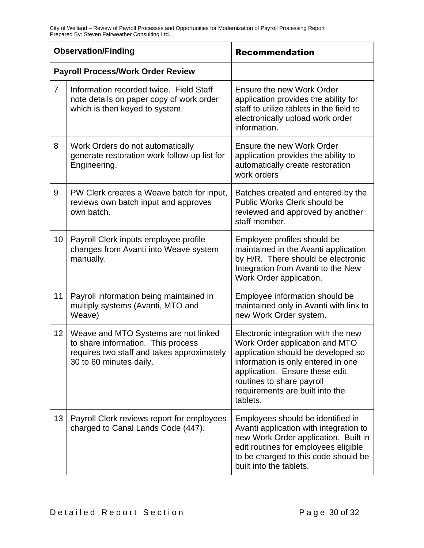|                | <b>Observation/Finding</b>                                                                                                                          | <b>Recommendation</b>                                                                                                                                                                                                                                           |  |
|----------------|-----------------------------------------------------------------------------------------------------------------------------------------------------|-----------------------------------------------------------------------------------------------------------------------------------------------------------------------------------------------------------------------------------------------------------------|--|
|                | <b>Payroll Process/Work Order Review</b>                                                                                                            |                                                                                                                                                                                                                                                                 |  |
| $\overline{7}$ | Information recorded twice. Field Staff<br>note details on paper copy of work order<br>which is then keyed to system.                               | Ensure the new Work Order<br>application provides the ability for<br>staff to utilize tablets in the field to<br>electronically upload work order<br>information.                                                                                               |  |
| 8              | Work Orders do not automatically<br>generate restoration work follow-up list for<br>Engineering.                                                    | <b>Ensure the new Work Order</b><br>application provides the ability to<br>automatically create restoration<br>work orders                                                                                                                                      |  |
| 9              | PW Clerk creates a Weave batch for input,<br>reviews own batch input and approves<br>own batch.                                                     | Batches created and entered by the<br><b>Public Works Clerk should be</b><br>reviewed and approved by another<br>staff member.                                                                                                                                  |  |
| 10             | Payroll Clerk inputs employee profile<br>changes from Avanti into Weave system<br>manually.                                                         | Employee profiles should be<br>maintained in the Avanti application<br>by H/R. There should be electronic<br>Integration from Avanti to the New<br>Work Order application.                                                                                      |  |
| 11             | Payroll information being maintained in<br>multiply systems (Avanti, MTO and<br>Weave)                                                              | Employee information should be<br>maintained only in Avanti with link to<br>new Work Order system.                                                                                                                                                              |  |
| 12             | Weave and MTO Systems are not linked<br>to share information. This process<br>requires two staff and takes approximately<br>30 to 60 minutes daily. | Electronic integration with the new<br>Work Order application and MTO<br>application should be developed so<br>information is only entered in one<br>application. Ensure these edit<br>routines to share payroll<br>requirements are built into the<br>tablets. |  |
| 13             | Payroll Clerk reviews report for employees<br>charged to Canal Lands Code (447).                                                                    | Employees should be identified in<br>Avanti application with integration to<br>new Work Order application. Built in<br>edit routines for employees eligible<br>to be charged to this code should be<br>built into the tablets.                                  |  |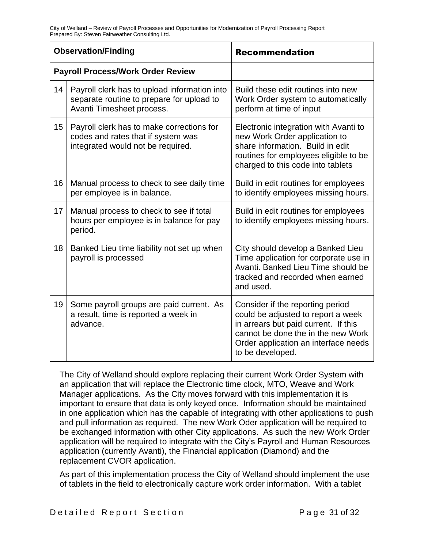|    | <b>Observation/Finding</b>                                                                                             | <b>Recommendation</b>                                                                                                                                                                                            |
|----|------------------------------------------------------------------------------------------------------------------------|------------------------------------------------------------------------------------------------------------------------------------------------------------------------------------------------------------------|
|    | <b>Payroll Process/Work Order Review</b>                                                                               |                                                                                                                                                                                                                  |
| 14 | Payroll clerk has to upload information into<br>separate routine to prepare for upload to<br>Avanti Timesheet process. | Build these edit routines into new<br>Work Order system to automatically<br>perform at time of input                                                                                                             |
| 15 | Payroll clerk has to make corrections for<br>codes and rates that if system was<br>integrated would not be required.   | Electronic integration with Avanti to<br>new Work Order application to<br>share information. Build in edit<br>routines for employees eligible to be<br>charged to this code into tablets                         |
| 16 | Manual process to check to see daily time<br>per employee is in balance.                                               | Build in edit routines for employees<br>to identify employees missing hours.                                                                                                                                     |
| 17 | Manual process to check to see if total<br>hours per employee is in balance for pay<br>period.                         | Build in edit routines for employees<br>to identify employees missing hours.                                                                                                                                     |
| 18 | Banked Lieu time liability not set up when<br>payroll is processed                                                     | City should develop a Banked Lieu<br>Time application for corporate use in<br>Avanti, Banked Lieu Time should be<br>tracked and recorded when earned<br>and used.                                                |
| 19 | Some payroll groups are paid current. As<br>a result, time is reported a week in<br>advance.                           | Consider if the reporting period<br>could be adjusted to report a week<br>in arrears but paid current. If this<br>cannot be done the in the new Work<br>Order application an interface needs<br>to be developed. |

The City of Welland should explore replacing their current Work Order System with an application that will replace the Electronic time clock, MTO, Weave and Work Manager applications. As the City moves forward with this implementation it is important to ensure that data is only keyed once. Information should be maintained in one application which has the capable of integrating with other applications to push and pull information as required. The new Work Oder application will be required to be exchanged information with other City applications. As such the new Work Order application will be required to integrate with the City's Payroll and Human Resources application (currently Avanti), the Financial application (Diamond) and the replacement CVOR application.

As part of this implementation process the City of Welland should implement the use of tablets in the field to electronically capture work order information. With a tablet